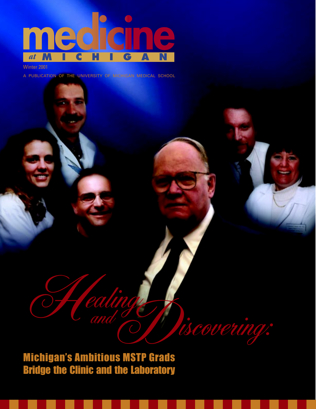

Winter 2001

A PUBLICATION OF THE UNIVERSITY OF MICHIGAN MEDICAL SCHOOL

Michigan's Ambitious MSTP Grads Bridge the Clinic and the Laboratory Healing Section

ealing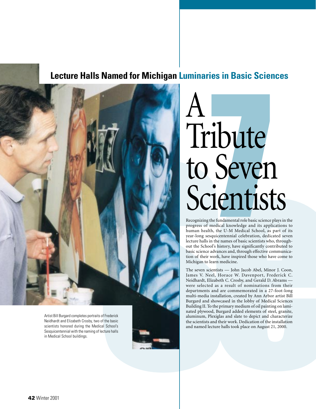### **Lecture Halls Named for Michigan Luminaries in Basic Sciences**



Artist Bill Burgard completes portraits of Frederick Neidhardt and Elizabeth Crosby, two of the basic scientists honored during the Medical School's Sesquicentennial with the naming of lecture halls in Medical School buildings.

# **ibute**<br>Sever<br>Press Contract Server<br>Perfundamental role basic science<br>Refundamental role basic science<br>A, the U-M Medical School, as  $\underline{A}$ Tribute to Seven Scientists

Recognizing the fundamental role basic science plays in the progress of medical knowledge and its applications to human health, the U-M Medical School, as part of its year-long sesquicentennial celebration, dedicated seven lecture halls in the names of basic scientists who, throughout the School's history, have significantly contributed to basic science advances and, through effective communication of their work, have inspired those who have come to Michigan to learn medicine.

The seven scientists — John Jacob Abel, Minor J. Coon, James V. Neel, Horace W. Davenport, Frederick C. Neidhardt, Elizabeth C. Crosby, and Gerald D. Abrams were selected as a result of nominations from their departments and are commemorated in a 27-foot-long multi-media installation, created by Ann Arbor artist Bill Burgard and showcased in the lobby of Medical Sciences Building II. To the primary medium of oil painting on laminated plywood, Burgard added elements of steel, granite, aluminum, Plexiglas and slate to depict and characterize the scientists and their work. Dedication of the installation and named lecture halls took place on August 21, 2000.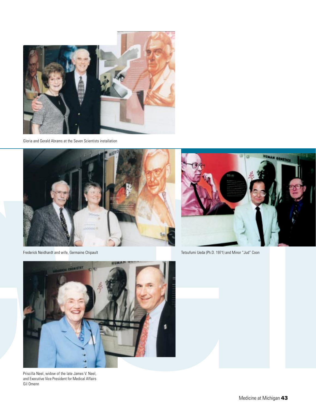

Gloria and Gerald Abrams at the Seven Scientists installation



Frederick Neidhardt and wife, Germaine Chipault



Tetsufumi Ueda (Ph.D. 1971) and Minor "Jud" Coon



Priscilla Neel, widow of the late James V. Neel, and Executive Vice President for Medical Affairs Gil Omenn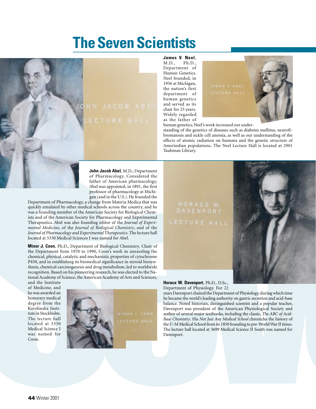## **The Seven Scientists**



James V. Neel,<br>M.D., Ph.D.,  $Ph.D.,$ Department of Human Genetics. Neel founded, in 1956 at Michigan, the nation's first department of human genetics and served as its chair for 25 years. Widely regarded as the father of



human genetics, Neel's work increased our under-

standing of the genetics of diseases such as diabetes mellitus, neurofibromatosis and sickle cell anemia, as well as our understanding of the effects of atomic radiation on humans and the genetic structure of Amerindian populations. The Neel Lecture Hall is located at 2901 Taubman Library.

of Pharmacology. Considered the father of American pharmacology, Abel was appointed, in 1891, the first professor of pharmacology at Michigan (and in the U.S.). He founded the

Department of Pharmacology, a change from Materia Medica that was quickly emulated by other medical schools across the country, and he was a founding member of the American Society for Biological Chemists and of the American Society for Pharmacology and Experimental Therapeutics. Abel was also founding editor of the *Journal of Experimental Medicine*, of the *Journal of Biological Chemistry*, and of the *Journal of Pharmacology and Experimental Therapeutics*. The lecture hall located at 5330 Medical Sciences I was named for Abel.

**Minor J. Coon**, Ph.D., Department of Biological Chemistry. Chair of the Department from 1970 to 1990, Coon's work in unraveling the chemical, physical, catalytic and mechanistic properties of cytochrome P450, and in establishing its biomedical significance in steroid biosynthesis, chemical carcinogenesis and drug metabolism, led to worldwide recognition. Based on his pioneering research, he was elected to the National Academy of Science, the American Academy of Arts and Sciences,

and the Institute of Medicine, and he was awarded an honorary medical degree from the Karolinska Institute in Stockholm. The lecture hall located at 3330 Medical Science I was named for Coon.



#### **Horace W. Davenport**, Ph.D., D.Sc., Department of Physiology. For 22

**shows** the state of Antennas (and the State of Antennas (and the State of Antennas (and a state of Antennas Model and Band and State of Band and State of Band and State of Band and State of Band and State of Band and Sta years Davenport chaired the Department of Physiology, during which time he became the world's leading authority on gastric secretion and acid-base balance. Noted historian, distinguished scientist and a popular teacher, Davenport was president of the American Physiological Society and author of several major textbooks, including the classic, *The ABC of Acid-Base Chemistry*. His *Not Just Any Medical School* chronicles the history of the U-M Medical School from its 1850 founding to pre-World War II times. The lecture hall located at 3699 Medical Science II South was named for Davenport.